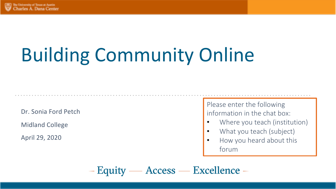# Building Community Online

Dr. Sonia Ford Petch

Midland College

April 29, 2020

Please enter the following information in the chat box:

- Where you teach (institution)
- What you teach (subject)
- How you heard about this forum

- Equity — Access — Excellence -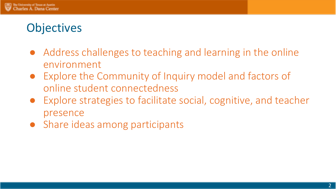# **Objectives**

- Address challenges to teaching and learning in the online environment
- Explore the Community of Inquiry model and factors of online student connectedness
- Explore strategies to facilitate social, cognitive, and teacher presence
- Share ideas among participants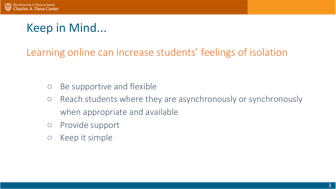# Keep in Mind...

### Learning online can increase students' feelings of isolation

- Be supportive and flexible
- Reach students where they are asynchronously or synchronously when appropriate and available
- Provide support
- Keep it simple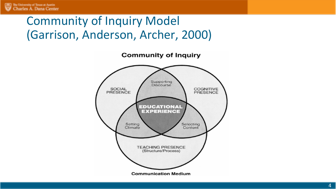# Community of Inquiry Model (Garrison, Anderson, Archer, 2000)

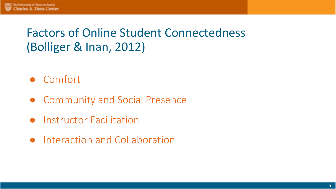# Factors of Online Student Connectedness (Bolliger & Inan, 2012)

- Comfort
- Community and Social Presence
- Instructor Facilitation
- Interaction and Collaboration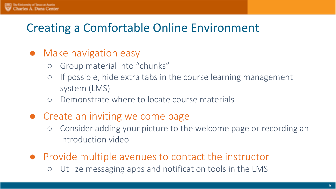# Creating a Comfortable Online Environment

- Make navigation easy
	- Group material into "chunks"
	- If possible, hide extra tabs in the course learning management system (LMS)
	- Demonstrate where to locate course materials
- Create an inviting welcome page
	- Consider adding your picture to the welcome page or recording an introduction video
- Provide multiple avenues to contact the instructor
	- Utilize messaging apps and notification tools in the LMS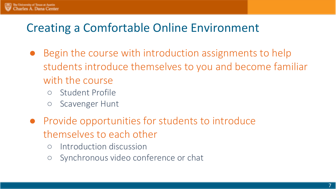## Creating a Comfortable Online Environment

- Begin the course with introduction assignments to help students introduce themselves to you and become familiar with the course
	- Student Profile
	- Scavenger Hunt
- Provide opportunities for students to introduce themselves to each other
	- Introduction discussion
	- Synchronous video conference or chat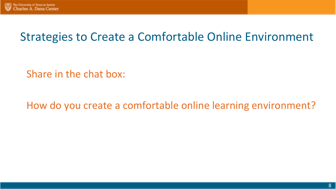# Strategies to Create a Comfortable Online Environment

Share in the chat box:

How do you create a comfortable online learning environment?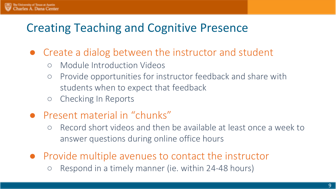# Creating Teaching and Cognitive Presence

- Create a dialog between the instructor and student
	- Module Introduction Videos
	- Provide opportunities for instructor feedback and share with students when to expect that feedback
	- Checking In Reports
- Present material in "chunks"
	- Record short videos and then be available at least once a week to answer questions during online office hours
- Provide multiple avenues to contact the instructor
	- Respond in a timely manner (ie. within 24-48 hours)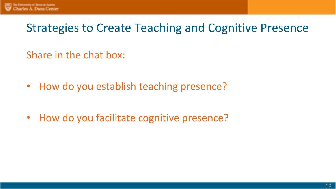# Strategies to Create Teaching and Cognitive Presence

Share in the chat box:

• How do you establish teaching presence?

• How do you facilitate cognitive presence?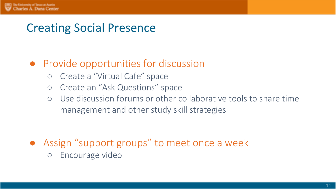## Creating Social Presence

#### ● Provide opportunities for discussion

- Create a "Virtual Cafe" space
- Create an "Ask Questions" space
- Use discussion forums or other collaborative tools to share time management and other study skill strategies

- Assign "support groups" to meet once a week
	- Encourage video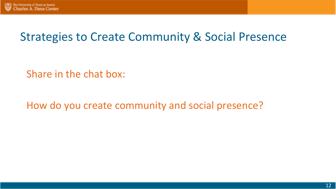## Strategies to Create Community & Social Presence

Share in the chat box:

How do you create community and social presence?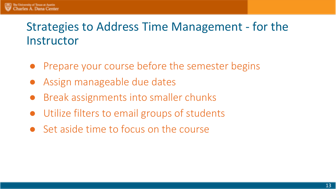# Strategies to Address Time Management - for the **Instructor**

- Prepare your course before the semester begins
- Assign manageable due dates
- Break assignments into smaller chunks
- Utilize filters to email groups of students
- Set aside time to focus on the course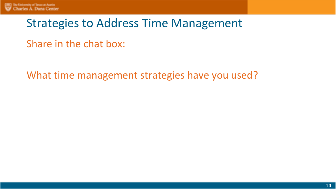## Strategies to Address Time Management

Share in the chat box:

What time management strategies have you used?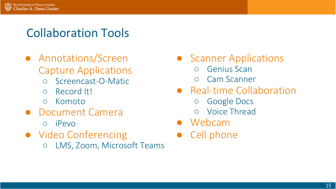## Collaboration Tools

- Annotations/Screen Capture Applications
	- Screencast-O-Matic
	- Record It!
	- Komoto
- Document Camera
	- iPevo
- Video Conferencing
	- LMS, Zoom, Microsoft Teams
- Scanner Applications
	- Genius Scan
	- Cam Scanner
- Real-time Collaboration
	- Google Docs
	- Voice Thread
- Webcam
- Cell phone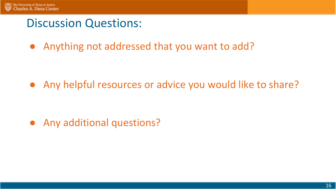## Discussion Questions:

● Anything not addressed that you want to add?

• Any helpful resources or advice you would like to share?

● Any additional questions?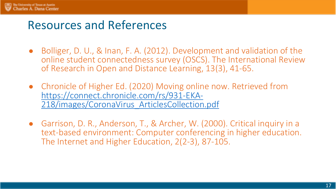## Resources and References

- Bolliger, D. U., & Inan, F. A. (2012). Development and validation of the online student connectedness survey (OSCS). The International Review of Research in Open and Distance Learning, 13(3), 41-65.
- Chronicle of Higher Ed. (2020) Moving online now. Retrieved from<br>https://connect.chronicle.com/rs/931-EKA-218/images/CoronaVirus ArticlesCollection.pdf
- Garrison, D. R., Anderson, T., & Archer, W. (2000). Critical inquiry in a text-based environment: Computer conferencing in higher education. The Internet and Higher Education, 2(2-3), 87-105.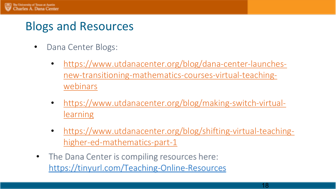## Blogs and Resources

- Dana Center Blogs:
	- https://www.utdanacenter.org/blog/dana-center-launches[new-transitioning-mathematics-courses-virtual-teaching](https://www.utdanacenter.org/blog/dana-center-launches-new-transitioning-mathematics-courses-virtual-teaching-webinars)webinars
	- [https://www.utdanacenter.org/blog/making-switch-virtual](https://www.utdanacenter.org/blog/making-switch-virtual-learning)learning
	- [https://www.utdanacenter.org/blog/shifting-virtual-teaching](https://www.utdanacenter.org/blog/shifting-virtual-teaching-higher-ed-mathematics-part-1)higher-ed-mathematics-part-1
- The Dana Center is compiling resources here:  $\bullet$ https://tinyurl.com/Teaching-Online-Resources